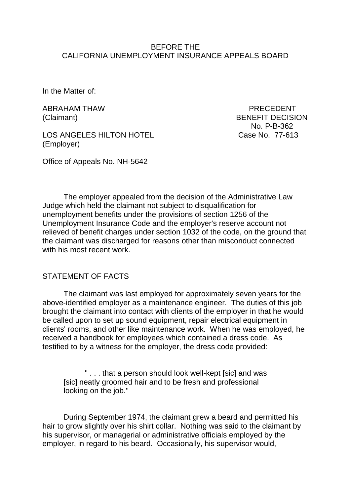### BEFORE THE CALIFORNIA UNEMPLOYMENT INSURANCE APPEALS BOARD

In the Matter of:

ABRAHAM THAW PRECEDENT

LOS ANGELES HILTON HOTEL Case No. 77-613 (Employer)

(Claimant) BENEFIT DECISION No. P-B-362

Office of Appeals No. NH-5642

The employer appealed from the decision of the Administrative Law Judge which held the claimant not subject to disqualification for unemployment benefits under the provisions of section 1256 of the Unemployment Insurance Code and the employer's reserve account not relieved of benefit charges under section 1032 of the code, on the ground that the claimant was discharged for reasons other than misconduct connected with his most recent work.

## STATEMENT OF FACTS

The claimant was last employed for approximately seven years for the above-identified employer as a maintenance engineer. The duties of this job brought the claimant into contact with clients of the employer in that he would be called upon to set up sound equipment, repair electrical equipment in clients' rooms, and other like maintenance work. When he was employed, he received a handbook for employees which contained a dress code. As testified to by a witness for the employer, the dress code provided:

" . . . that a person should look well-kept [sic] and was [sic] neatly groomed hair and to be fresh and professional looking on the job."

During September 1974, the claimant grew a beard and permitted his hair to grow slightly over his shirt collar. Nothing was said to the claimant by his supervisor, or managerial or administrative officials employed by the employer, in regard to his beard. Occasionally, his supervisor would,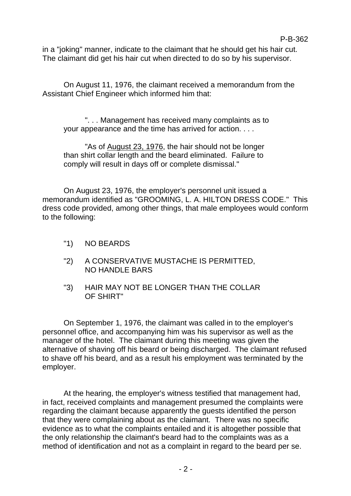in a "joking" manner, indicate to the claimant that he should get his hair cut. The claimant did get his hair cut when directed to do so by his supervisor.

On August 11, 1976, the claimant received a memorandum from the Assistant Chief Engineer which informed him that:

". . . Management has received many complaints as to your appearance and the time has arrived for action. . . .

"As of August 23, 1976, the hair should not be longer than shirt collar length and the beard eliminated. Failure to comply will result in days off or complete dismissal."

On August 23, 1976, the employer's personnel unit issued a memorandum identified as "GROOMING, L. A. HILTON DRESS CODE." This dress code provided, among other things, that male employees would conform to the following:

- "1) NO BEARDS
- "2) A CONSERVATIVE MUSTACHE IS PERMITTED, NO HANDLE BARS
- "3) HAIR MAY NOT BE LONGER THAN THE COLLAR OF SHIRT"

On September 1, 1976, the claimant was called in to the employer's personnel office, and accompanying him was his supervisor as well as the manager of the hotel. The claimant during this meeting was given the alternative of shaving off his beard or being discharged. The claimant refused to shave off his beard, and as a result his employment was terminated by the employer.

At the hearing, the employer's witness testified that management had, in fact, received complaints and management presumed the complaints were regarding the claimant because apparently the guests identified the person that they were complaining about as the claimant. There was no specific evidence as to what the complaints entailed and it is altogether possible that the only relationship the claimant's beard had to the complaints was as a method of identification and not as a complaint in regard to the beard per se.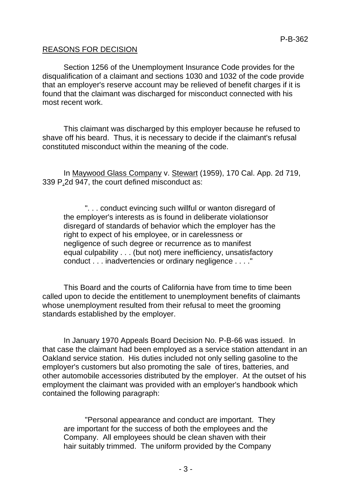### REASONS FOR DECISION

Section 1256 of the Unemployment Insurance Code provides for the disqualification of a claimant and sections 1030 and 1032 of the code provide that an employer's reserve account may be relieved of benefit charges if it is found that the claimant was discharged for misconduct connected with his most recent work.

This claimant was discharged by this employer because he refused to shave off his beard. Thus, it is necessary to decide if the claimant's refusal constituted misconduct within the meaning of the code.

In Maywood Glass Company v. Stewart (1959), 170 Cal. App. 2d 719, 339 P.2d 947, the court defined misconduct as:

". . . conduct evincing such willful or wanton disregard of the employer's interests as is found in deliberate violationsor disregard of standards of behavior which the employer has the right to expect of his employee, or in carelessness or negligence of such degree or recurrence as to manifest equal culpability . . . (but not) mere inefficiency, unsatisfactory conduct . . . inadvertencies or ordinary negligence . . . ."

This Board and the courts of California have from time to time been called upon to decide the entitlement to unemployment benefits of claimants whose unemployment resulted from their refusal to meet the grooming standards established by the employer.

In January 1970 Appeals Board Decision No. P-B-66 was issued. In that case the claimant had been employed as a service station attendant in an Oakland service station. His duties included not only selling gasoline to the employer's customers but also promoting the sale of tires, batteries, and other automobile accessories distributed by the employer. At the outset of his employment the claimant was provided with an employer's handbook which contained the following paragraph:

"Personal appearance and conduct are important. They are important for the success of both the employees and the Company. All employees should be clean shaven with their hair suitably trimmed. The uniform provided by the Company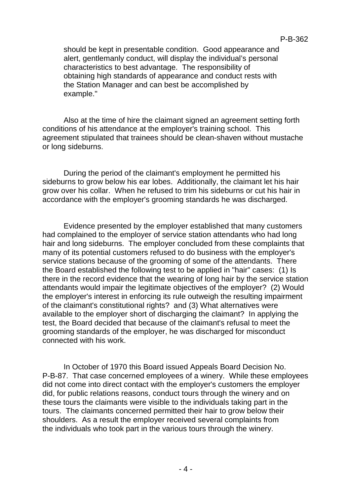should be kept in presentable condition. Good appearance and alert, gentlemanly conduct, will display the individual's personal characteristics to best advantage. The responsibility of obtaining high standards of appearance and conduct rests with the Station Manager and can best be accomplished by example."

Also at the time of hire the claimant signed an agreement setting forth conditions of his attendance at the employer's training school. This agreement stipulated that trainees should be clean-shaven without mustache or long sideburns.

During the period of the claimant's employment he permitted his sideburns to grow below his ear lobes. Additionally, the claimant let his hair grow over his collar. When he refused to trim his sideburns or cut his hair in accordance with the employer's grooming standards he was discharged.

Evidence presented by the employer established that many customers had complained to the employer of service station attendants who had long hair and long sideburns. The employer concluded from these complaints that many of its potential customers refused to do business with the employer's service stations because of the grooming of some of the attendants. There the Board established the following test to be applied in "hair" cases: (1) Is there in the record evidence that the wearing of long hair by the service station attendants would impair the legitimate objectives of the employer? (2) Would the employer's interest in enforcing its rule outweigh the resulting impairment of the claimant's constitutional rights? and (3) What alternatives were available to the employer short of discharging the claimant? In applying the test, the Board decided that because of the claimant's refusal to meet the grooming standards of the employer, he was discharged for misconduct connected with his work.

In October of 1970 this Board issued Appeals Board Decision No. P-B-87. That case concerned employees of a winery. While these employees did not come into direct contact with the employer's customers the employer did, for public relations reasons, conduct tours through the winery and on these tours the claimants were visible to the individuals taking part in the tours. The claimants concerned permitted their hair to grow below their shoulders. As a result the employer received several complaints from the individuals who took part in the various tours through the winery.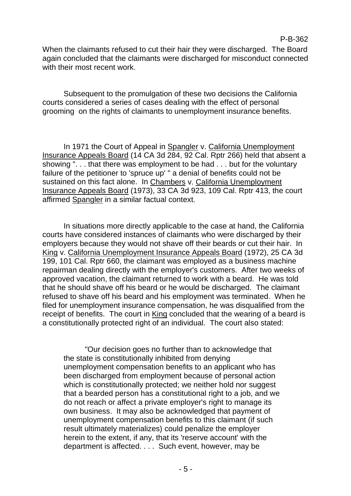#### P-B-362

When the claimants refused to cut their hair they were discharged. The Board again concluded that the claimants were discharged for misconduct connected with their most recent work.

Subsequent to the promulgation of these two decisions the California courts considered a series of cases dealing with the effect of personal grooming on the rights of claimants to unemployment insurance benefits.

In 1971 the Court of Appeal in Spangler v. California Unemployment Insurance Appeals Board (14 CA 3d 284, 92 Cal. Rptr 266) held that absent a showing ". . . that there was employment to be had . . . but for the voluntary failure of the petitioner to 'spruce up' " a denial of benefits could not be sustained on this fact alone. In Chambers v. California Unemployment Insurance Appeals Board (1973), 33 CA 3d 923, 109 Cal. Rptr 413, the court affirmed Spangler in a similar factual context.

In situations more directly applicable to the case at hand, the California courts have considered instances of claimants who were discharged by their employers because they would not shave off their beards or cut their hair. In King v. California Unemployment Insurance Appeals Board (1972), 25 CA 3d 199, 101 Cal. Rptr 660, the claimant was employed as a business machine repairman dealing directly with the employer's customers. After two weeks of approved vacation, the claimant returned to work with a beard. He was told that he should shave off his beard or he would be discharged. The claimant refused to shave off his beard and his employment was terminated. When he filed for unemployment insurance compensation, he was disqualified from the receipt of benefits. The court in King concluded that the wearing of a beard is a constitutionally protected right of an individual. The court also stated:

"Our decision goes no further than to acknowledge that the state is constitutionally inhibited from denying unemployment compensation benefits to an applicant who has been discharged from employment because of personal action which is constitutionally protected; we neither hold nor suggest that a bearded person has a constitutional right to a job, and we do not reach or affect a private employer's right to manage its own business. It may also be acknowledged that payment of unemployment compensation benefits to this claimant (if such result ultimately materializes) could penalize the employer herein to the extent, if any, that its 'reserve account' with the department is affected. . . . Such event, however, may be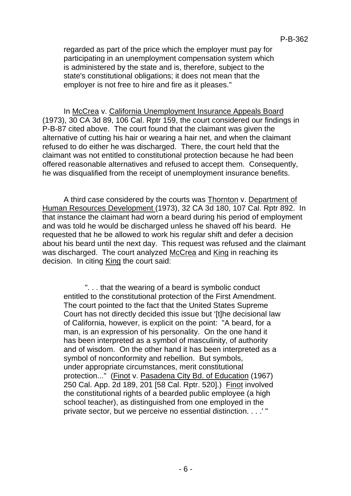regarded as part of the price which the employer must pay for participating in an unemployment compensation system which is administered by the state and is, therefore, subject to the state's constitutional obligations; it does not mean that the employer is not free to hire and fire as it pleases."

In McCrea v. California Unemployment Insurance Appeals Board (1973), 30 CA 3d 89, 106 Cal. Rptr 159, the court considered our findings in P-B-87 cited above. The court found that the claimant was given the alternative of cutting his hair or wearing a hair net, and when the claimant refused to do either he was discharged. There, the court held that the claimant was not entitled to constitutional protection because he had been offered reasonable alternatives and refused to accept them. Consequently, he was disqualified from the receipt of unemployment insurance benefits.

A third case considered by the courts was Thornton v. Department of Human Resources Development (1973), 32 CA 3d 180, 107 Cal. Rptr 892. In that instance the claimant had worn a beard during his period of employment and was told he would be discharged unless he shaved off his beard. He requested that he be allowed to work his regular shift and defer a decision about his beard until the next day. This request was refused and the claimant was discharged. The court analyzed McCrea and King in reaching its decision. In citing King the court said:

". . . that the wearing of a beard is symbolic conduct entitled to the constitutional protection of the First Amendment. The court pointed to the fact that the United States Supreme Court has not directly decided this issue but '[t]he decisional law of California, however, is explicit on the point: "A beard, for a man, is an expression of his personality. On the one hand it has been interpreted as a symbol of masculinity, of authority and of wisdom. On the other hand it has been interpreted as a symbol of nonconformity and rebellion. But symbols, under appropriate circumstances, merit constitutional protection..." (Finot v. Pasadena City Bd. of Education (1967) 250 Cal. App. 2d 189, 201 [58 Cal. Rptr. 520].) Finot involved the constitutional rights of a bearded public employee (a high school teacher), as distinguished from one employed in the private sector, but we perceive no essential distinction. . . .' "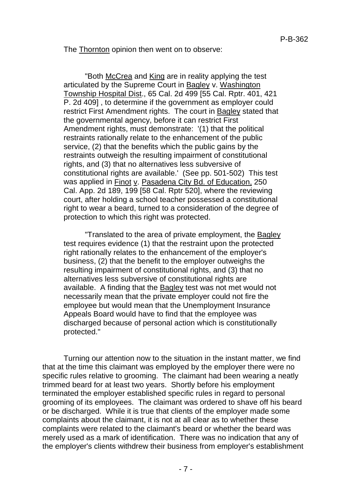The Thornton opinion then went on to observe:

"Both McCrea and King are in reality applying the test articulated by the Supreme Court in Bagley v. Washington Township Hospital Dist., 65 Cal. 2d 499 [55 Cal. Rptr. 401, 421 P. 2d 409] , to determine if the government as employer could restrict First Amendment rights. The court in Bagley stated that the governmental agency, before it can restrict First Amendment rights, must demonstrate: '(1) that the political restraints rationally relate to the enhancement of the public service, (2) that the benefits which the public gains by the restraints outweigh the resulting impairment of constitutional rights, and (3) that no alternatives less subversive of constitutional rights are available.' (See pp. 501-502) This test was applied in Finot v. Pasadena City Bd. of Education, 250 Cal. App. 2d 189, 199 [58 Cal. Rptr 520], where the reviewing court, after holding a school teacher possessed a constitutional right to wear a beard, turned to a consideration of the degree of protection to which this right was protected.

"Translated to the area of private employment, the Bagley test requires evidence (1) that the restraint upon the protected right rationally relates to the enhancement of the employer's business, (2) that the benefit to the employer outweighs the resulting impairment of constitutional rights, and (3) that no alternatives less subversive of constitutional rights are available. A finding that the Bagley test was not met would not necessarily mean that the private employer could not fire the employee but would mean that the Unemployment Insurance Appeals Board would have to find that the employee was discharged because of personal action which is constitutionally protected."

Turning our attention now to the situation in the instant matter, we find that at the time this claimant was employed by the employer there were no specific rules relative to grooming. The claimant had been wearing a neatly trimmed beard for at least two years. Shortly before his employment terminated the employer established specific rules in regard to personal grooming of its employees. The claimant was ordered to shave off his beard or be discharged. While it is true that clients of the employer made some complaints about the claimant, it is not at all clear as to whether these complaints were related to the claimant's beard or whether the beard was merely used as a mark of identification. There was no indication that any of the employer's clients withdrew their business from employer's establishment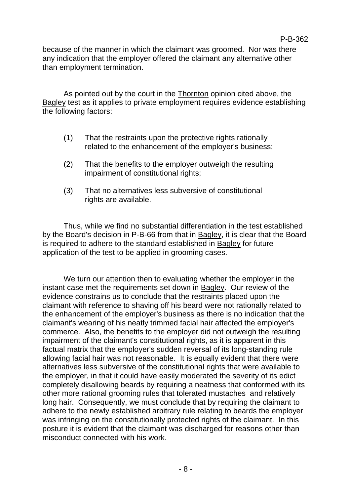because of the manner in which the claimant was groomed. Nor was there any indication that the employer offered the claimant any alternative other than employment termination.

As pointed out by the court in the Thornton opinion cited above, the Bagley test as it applies to private employment requires evidence establishing the following factors:

- (1) That the restraints upon the protective rights rationally related to the enhancement of the employer's business;
- (2) That the benefits to the employer outweigh the resulting impairment of constitutional rights;
- (3) That no alternatives less subversive of constitutional rights are available.

Thus, while we find no substantial differentiation in the test established by the Board's decision in P-B-66 from that in Bagley, it is clear that the Board is required to adhere to the standard established in Bagley for future application of the test to be applied in grooming cases.

We turn our attention then to evaluating whether the employer in the instant case met the requirements set down in Bagley. Our review of the evidence constrains us to conclude that the restraints placed upon the claimant with reference to shaving off his beard were not rationally related to the enhancement of the employer's business as there is no indication that the claimant's wearing of his neatly trimmed facial hair affected the employer's commerce. Also, the benefits to the employer did not outweigh the resulting impairment of the claimant's constitutional rights, as it is apparent in this factual matrix that the employer's sudden reversal of its long-standing rule allowing facial hair was not reasonable. It is equally evident that there were alternatives less subversive of the constitutional rights that were available to the employer, in that it could have easily moderated the severity of its edict completely disallowing beards by requiring a neatness that conformed with its other more rational grooming rules that tolerated mustaches and relatively long hair. Consequently, we must conclude that by requiring the claimant to adhere to the newly established arbitrary rule relating to beards the employer was infringing on the constitutionally protected rights of the claimant. In this posture it is evident that the claimant was discharged for reasons other than misconduct connected with his work.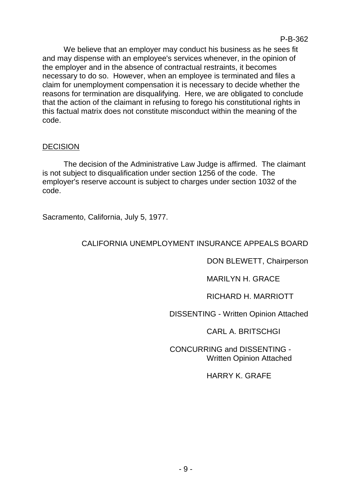We believe that an employer may conduct his business as he sees fit and may dispense with an employee's services whenever, in the opinion of the employer and in the absence of contractual restraints, it becomes necessary to do so. However, when an employee is terminated and files a claim for unemployment compensation it is necessary to decide whether the reasons for termination are disqualifying. Here, we are obligated to conclude that the action of the claimant in refusing to forego his constitutional rights in this factual matrix does not constitute misconduct within the meaning of the code.

# DECISION

The decision of the Administrative Law Judge is affirmed. The claimant is not subject to disqualification under section 1256 of the code. The employer's reserve account is subject to charges under section 1032 of the code.

Sacramento, California, July 5, 1977.

# CALIFORNIA UNEMPLOYMENT INSURANCE APPEALS BOARD

DON BLEWETT, Chairperson

MARILYN H. GRACE

RICHARD H. MARRIOTT

DISSENTING - Written Opinion Attached

CARL A. BRITSCHGI

CONCURRING and DISSENTING - Written Opinion Attached

HARRY K. GRAFE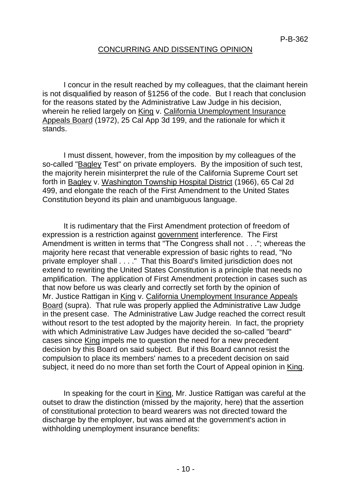## CONCURRING AND DISSENTING OPINION

I concur in the result reached by my colleagues, that the claimant herein is not disqualified by reason of §1256 of the code. But I reach that conclusion for the reasons stated by the Administrative Law Judge in his decision, wherein he relied largely on King v. California Unemployment Insurance Appeals Board (1972), 25 Cal App 3d 199, and the rationale for which it stands.

I must dissent, however, from the imposition by my colleagues of the so-called "Bagley Test" on private employers. By the imposition of such test, the majority herein misinterpret the rule of the California Supreme Court set forth in Bagley v. Washington Township Hospital District (1966), 65 Cal 2d 499, and elongate the reach of the First Amendment to the United States Constitution beyond its plain and unambiguous language.

It is rudimentary that the First Amendment protection of freedom of expression is a restriction against government interference. The First Amendment is written in terms that "The Congress shall not . . ."; whereas the majority here recast that venerable expression of basic rights to read, "No private employer shall . . . ." That this Board's limited jurisdiction does not extend to rewriting the United States Constitution is a principle that needs no amplification. The application of First Amendment protection in cases such as that now before us was clearly and correctly set forth by the opinion of Mr. Justice Rattigan in King v. California Unemployment Insurance Appeals Board (supra). That rule was properly applied the Administrative Law Judge in the present case. The Administrative Law Judge reached the correct result without resort to the test adopted by the majority herein. In fact, the propriety with which Administrative Law Judges have decided the so-called "beard" cases since King impels me to question the need for a new precedent decision by this Board on said subject. But if this Board cannot resist the compulsion to place its members' names to a precedent decision on said subject, it need do no more than set forth the Court of Appeal opinion in King.

In speaking for the court in King, Mr. Justice Rattigan was careful at the outset to draw the distinction (missed by the majority, here) that the assertion of constitutional protection to beard wearers was not directed toward the discharge by the employer, but was aimed at the government's action in withholding unemployment insurance benefits: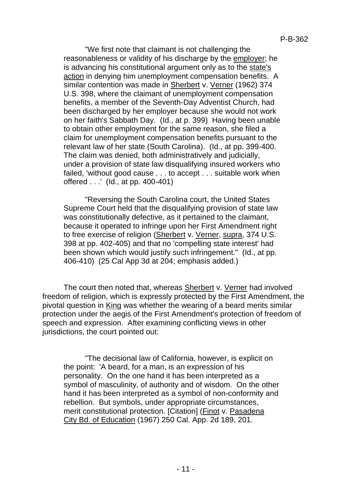"We first note that claimant is not challenging the reasonableness or validity of his discharge by the employer; he is advancing his constitutional argument only as to the state's action in denying him unemployment compensation benefits. A similar contention was made in Sherbert v. Verner (1962) 374 U.S. 398, where the claimant of unemployment compensation benefits, a member of the Seventh-Day Adventist Church, had been discharged by her employer because she would not work on her faith's Sabbath Day. (Id., at p. 399) Having been unable to obtain other employment for the same reason, she filed a claim for unemployment compensation benefits pursuant to the relevant law of her state (South Carolina). (Id., at pp. 399-400. The claim was denied, both administratively and judicially, under a provision of state law disqualifying insured workers who failed, 'without good cause . . . to accept . . . suitable work when offered . . .' (Id., at pp. 400-401)

"Reversing the South Carolina court, the United States Supreme Court held that the disqualifying provision of state law was constitutionally defective, as it pertained to the claimant, because it operated to infringe upon her First Amendment right to free exercise of religion (Sherbert v. Verner, supra, 374 U.S. 398 at pp. 402-405) and that no 'compelling state interest' had been shown which would justify such infringement." (Id., at pp. 406-410) (25 Cal App 3d at 204; emphasis added.)

The court then noted that, whereas Sherbert v. Verner had involved freedom of religion, which is expressly protected by the First Amendment, the pivotal question in King was whether the wearing of a beard merits similar protection under the aegis of the First Amendment's protection of freedom of speech and expression. After examining conflicting views in other jurisdictions, the court pointed out:

"The decisional law of California, however, is explicit on the point: 'A beard, for a man, is an expression of his personality. On the one hand it has been interpreted as a symbol of masculinity, of authority and of wisdom. On the other hand it has been interpreted as a symbol of non-conformity and rebellion. But symbols, under appropriate circumstances, merit constitutional protection. [Citation] (Finot v. Pasadena City Bd. of Education (1967) 250 Cal. App. 2d 189, 201.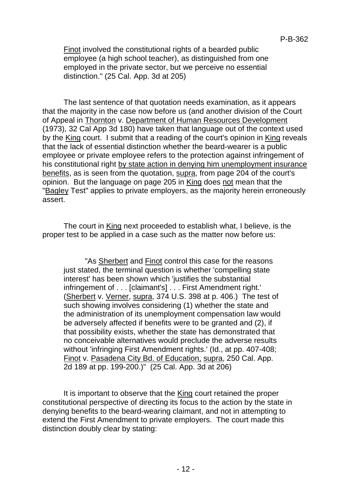Finot involved the constitutional rights of a bearded public employee (a high school teacher), as distinguished from one employed in the private sector, but we perceive no essential distinction." (25 Cal. App. 3d at 205)

The last sentence of that quotation needs examination, as it appears that the majority in the case now before us (and another division of the Court of Appeal in Thornton v. Department of Human Resources Development (1973), 32 Cal App 3d 180) have taken that language out of the context used by the King court. I submit that a reading of the court's opinion in King reveals that the lack of essential distinction whether the beard-wearer is a public employee or private employee refers to the protection against infringement of his constitutional right by state action in denying him unemployment insurance benefits, as is seen from the quotation, supra, from page 204 of the court's opinion. But the language on page 205 in King does not mean that the "Bagley Test" applies to private employers, as the majority herein erroneously assert.

The court in King next proceeded to establish what, I believe, is the proper test to be applied in a case such as the matter now before us:

"As Sherbert and Finot control this case for the reasons just stated, the terminal question is whether 'compelling state interest' has been shown which 'justifies the substantial infringement of . . . [claimant's] . . . First Amendment right.' (Sherbert v. Verner, supra, 374 U.S. 398 at p. 406.) The test of such showing involves considering (1) whether the state and the administration of its unemployment compensation law would be adversely affected if benefits were to be granted and (2), if that possibility exists, whether the state has demonstrated that no conceivable alternatives would preclude the adverse results without 'infringing First Amendment rights.' (Id., at pp. 407-408; Finot v. Pasadena City Bd. of Education, supra, 250 Cal. App. 2d 189 at pp. 199-200.)" (25 Cal. App. 3d at 206)

It is important to observe that the King court retained the proper constitutional perspective of directing its focus to the action by the state in denying benefits to the beard-wearing claimant, and not in attempting to extend the First Amendment to private employers. The court made this distinction doubly clear by stating: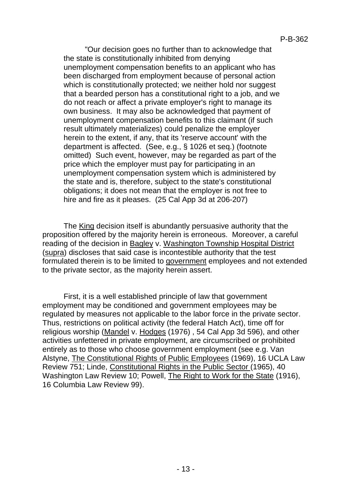"Our decision goes no further than to acknowledge that the state is constitutionally inhibited from denying unemployment compensation benefits to an applicant who has been discharged from employment because of personal action which is constitutionally protected; we neither hold nor suggest that a bearded person has a constitutional right to a job, and we do not reach or affect a private employer's right to manage its own business. It may also be acknowledged that payment of unemployment compensation benefits to this claimant (if such result ultimately materializes) could penalize the employer herein to the extent, if any, that its 'reserve account' with the department is affected. (See, e.g., § 1026 et seq.) (footnote omitted) Such event, however, may be regarded as part of the price which the employer must pay for participating in an unemployment compensation system which is administered by the state and is, therefore, subject to the state's constitutional obligations; it does not mean that the employer is not free to hire and fire as it pleases. (25 Cal App 3d at 206-207)

The King decision itself is abundantly persuasive authority that the proposition offered by the majority herein is erroneous. Moreover, a careful reading of the decision in Bagley v. Washington Township Hospital District (supra) discloses that said case is incontestible authority that the test formulated therein is to be limited to government employees and not extended to the private sector, as the majority herein assert.

First, it is a well established principle of law that government employment may be conditioned and government employees may be regulated by measures not applicable to the labor force in the private sector. Thus, restrictions on political activity (the federal Hatch Act), time off for religious worship (Mandel v. Hodges (1976) , 54 Cal App 3d 596), and other activities unfettered in private employment, are circumscribed or prohibited entirely as to those who choose government employment (see e.g. Van Alstyne, The Constitutional Rights of Public Employees (1969), 16 UCLA Law Review 751; Linde, Constitutional Rights in the Public Sector (1965), 40 Washington Law Review 10; Powell, The Right to Work for the State (1916), 16 Columbia Law Review 99).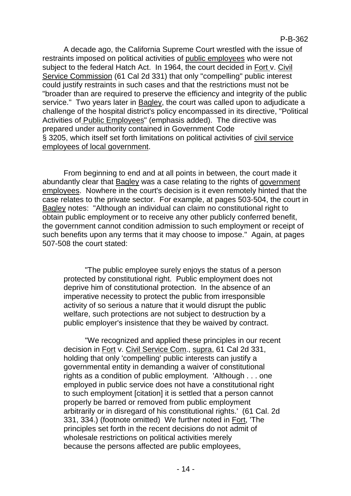A decade ago, the California Supreme Court wrestled with the issue of restraints imposed on political activities of public employees who were not subject to the federal Hatch Act. In 1964, the court decided in Fort v. Civil Service Commission (61 Cal 2d 331) that only "compelling" public interest could justify restraints in such cases and that the restrictions must not be "broader than are required to preserve the efficiency and integrity of the public service." Two years later in Bagley, the court was called upon to adjudicate a challenge of the hospital district's policy encompassed in its directive, "Political Activities of Public Employees" (emphasis added). The directive was prepared under authority contained in Government Code § 3205, which itself set forth limitations on political activities of civil service employees of local government.

From beginning to end and at all points in between, the court made it abundantly clear that Bagley was a case relating to the rights of government employees. Nowhere in the court's decision is it even remotely hinted that the case relates to the private sector. For example, at pages 503-504, the court in Bagley notes: "Although an individual can claim no constitutional right to obtain public employment or to receive any other publicly conferred benefit, the government cannot condition admission to such employment or receipt of such benefits upon any terms that it may choose to impose." Again, at pages 507-508 the court stated:

"The public employee surely enjoys the status of a person protected by constitutional right. Public employment does not deprive him of constitutional protection. In the absence of an imperative necessity to protect the public from irresponsible activity of so serious a nature that it would disrupt the public welfare, such protections are not subject to destruction by a public employer's insistence that they be waived by contract.

"We recognized and applied these principles in our recent decision in Fort v. Civil Service Com., supra, 61 Cal 2d 331, holding that only 'compelling' public interests can justify a governmental entity in demanding a waiver of constitutional rights as a condition of public employment. 'Although . . . one employed in public service does not have a constitutional right to such employment [citation] it is settled that a person cannot properly be barred or removed from public employment arbitrarily or in disregard of his constitutional rights.' (61 Cal. 2d 331, 334.) (footnote omitted) We further noted in Fort, 'The principles set forth in the recent decisions do not admit of wholesale restrictions on political activities merely because the persons affected are public employees,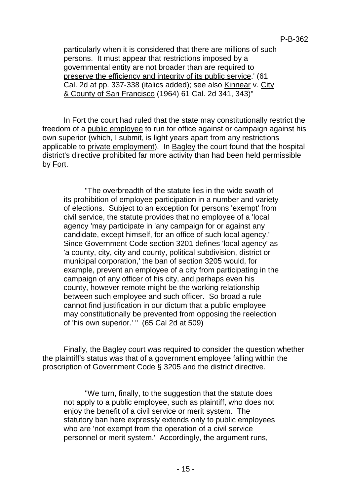particularly when it is considered that there are millions of such persons. It must appear that restrictions imposed by a governmental entity are not broader than are required to preserve the efficiency and integrity of its public service.' (61 Cal. 2d at pp. 337-338 (italics added); see also Kinnear v. City & County of San Francisco (1964) 61 Cal. 2d 341, 343)"

In Fort the court had ruled that the state may constitutionally restrict the freedom of a public employee to run for office against or campaign against his own superior (which, I submit, is light years apart from any restrictions applicable to private employment). In Bagley the court found that the hospital district's directive prohibited far more activity than had been held permissible by Fort.

"The overbreadth of the statute lies in the wide swath of its prohibition of employee participation in a number and variety of elections. Subject to an exception for persons 'exempt' from civil service, the statute provides that no employee of a 'local agency 'may participate in 'any campaign for or against any candidate, except himself, for an office of such local agency.' Since Government Code section 3201 defines 'local agency' as 'a county, city, city and county, political subdivision, district or municipal corporation,' the ban of section 3205 would, for example, prevent an employee of a city from participating in the campaign of any officer of his city, and perhaps even his county, however remote might be the working relationship between such employee and such officer. So broad a rule cannot find justification in our dictum that a public employee may constitutionally be prevented from opposing the reelection of 'his own superior.' " (65 Cal 2d at 509)

Finally, the Bagley court was required to consider the question whether the plaintiff's status was that of a government employee falling within the proscription of Government Code § 3205 and the district directive.

"We turn, finally, to the suggestion that the statute does not apply to a public employee, such as plaintiff, who does not enjoy the benefit of a civil service or merit system. The statutory ban here expressly extends only to public employees who are 'not exempt from the operation of a civil service personnel or merit system.' Accordingly, the argument runs,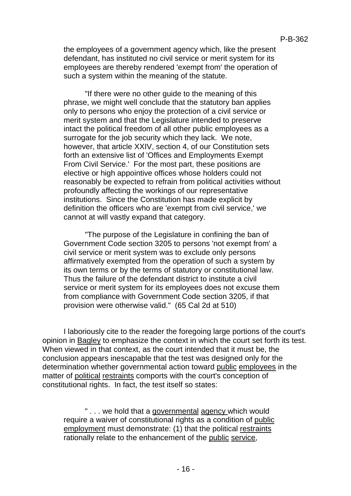the employees of a government agency which, like the present defendant, has instituted no civil service or merit system for its employees are thereby rendered 'exempt from' the operation of such a system within the meaning of the statute.

"If there were no other guide to the meaning of this phrase, we might well conclude that the statutory ban applies only to persons who enjoy the protection of a civil service or merit system and that the Legislature intended to preserve intact the political freedom of all other public employees as a surrogate for the job security which they lack. We note, however, that article XXIV, section 4, of our Constitution sets forth an extensive list of 'Offices and Employments Exempt From Civil Service.' For the most part, these positions are elective or high appointive offices whose holders could not reasonably be expected to refrain from political activities without profoundly affecting the workings of our representative institutions. Since the Constitution has made explicit by definition the officers who are 'exempt from civil service,' we cannot at will vastly expand that category.

"The purpose of the Legislature in confining the ban of Government Code section 3205 to persons 'not exempt from' a civil service or merit system was to exclude only persons affirmatively exempted from the operation of such a system by its own terms or by the terms of statutory or constitutional law. Thus the failure of the defendant district to institute a civil service or merit system for its employees does not excuse them from compliance with Government Code section 3205, if that provision were otherwise valid." (65 Cal 2d at 510)

I laboriously cite to the reader the foregoing large portions of the court's opinion in Bagley to emphasize the context in which the court set forth its test. When viewed in that context, as the court intended that it must be, the conclusion appears inescapable that the test was designed only for the determination whether governmental action toward public employees in the matter of political restraints comports with the court's conception of constitutional rights. In fact, the test itself so states:

" . . . we hold that a governmental agency which would require a waiver of constitutional rights as a condition of public employment must demonstrate: (1) that the political restraints rationally relate to the enhancement of the public service,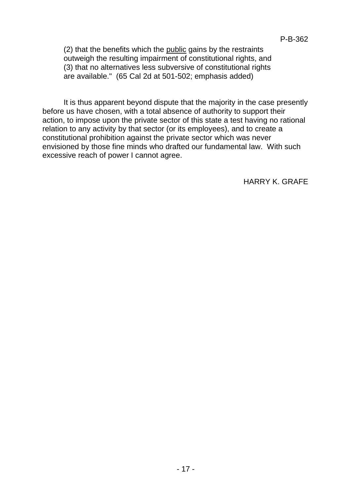(2) that the benefits which the public gains by the restraints outweigh the resulting impairment of constitutional rights, and (3) that no alternatives less subversive of constitutional rights  $ar<sub>2</sub>$  are available." (65 Cal 2d at 501-502; emphasis added)

It is thus apparent beyond dispute that the majority in the case presently before us have chosen, with a total absence of authority to support their action, to impose upon the private sector of this state a test having no rational relation to any activity by that sector (or its employees), and to create a constitutional prohibition against the private sector which was never envisioned by those fine minds who drafted our fundamental law. With such excessive reach of power I cannot agree.

HARRY K. GRAFE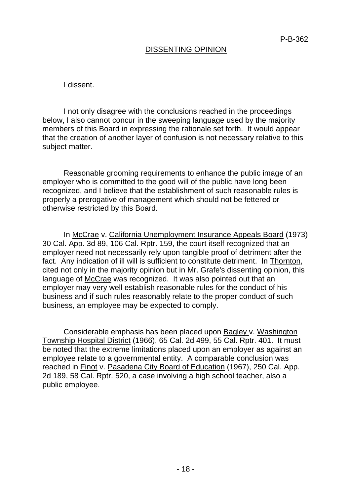# DISSENTING OPINION

I dissent.

I not only disagree with the conclusions reached in the proceedings below, I also cannot concur in the sweeping language used by the majority members of this Board in expressing the rationale set forth. It would appear that the creation of another layer of confusion is not necessary relative to this subject matter.

Reasonable grooming requirements to enhance the public image of an employer who is committed to the good will of the public have long been recognized, and I believe that the establishment of such reasonable rules is properly a prerogative of management which should not be fettered or otherwise restricted by this Board.

In McCrae v. California Unemployment Insurance Appeals Board (1973) 30 Cal. App. 3d 89, 106 Cal. Rptr. 159, the court itself recognized that an employer need not necessarily rely upon tangible proof of detriment after the fact. Any indication of ill will is sufficient to constitute detriment. In Thornton, cited not only in the majority opinion but in Mr. Grafe's dissenting opinion, this language of McCrae was recognized. It was also pointed out that an employer may very well establish reasonable rules for the conduct of his business and if such rules reasonably relate to the proper conduct of such business, an employee may be expected to comply.

Considerable emphasis has been placed upon Bagley v. Washington Township Hospital District (1966), 65 Cal. 2d 499, 55 Cal. Rptr. 401. It must be noted that the extreme limitations placed upon an employer as against an employee relate to a governmental entity. A comparable conclusion was reached in Finot v. Pasadena City Board of Education (1967), 250 Cal. App. 2d 189, 58 Cal. Rptr. 520, a case involving a high school teacher, also a public employee.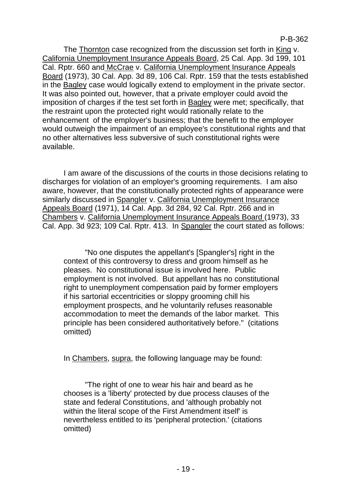The Thornton case recognized from the discussion set forth in King v. California Unemployment Insurance Appeals Board, 25 Cal. App. 3d 199, 101 Cal. Rptr. 660 and McCrae v. California Unemployment Insurance Appeals Board (1973), 30 Cal. App. 3d 89, 106 Cal. Rptr. 159 that the tests established in the Bagley case would logically extend to employment in the private sector. It was also pointed out, however, that a private employer could avoid the imposition of charges if the test set forth in Bagley were met; specifically, that the restraint upon the protected right would rationally relate to the enhancement of the employer's business; that the benefit to the employer would outweigh the impairment of an employee's constitutional rights and that no other alternatives less subversive of such constitutional rights were available.

I am aware of the discussions of the courts in those decisions relating to discharges for violation of an employer's grooming requirements. I am also aware, however, that the constitutionally protected rights of appearance were similarly discussed in Spangler v. California Unemployment Insurance Appeals Board (1971), 14 Cal. App. 3d 284, 92 Cal. Rptr. 266 and in Chambers v. California Unemployment Insurance Appeals Board (1973), 33 Cal. App. 3d 923; 109 Cal. Rptr. 413. In Spangler the court stated as follows:

"No one disputes the appellant's [Spangler's] right in the context of this controversy to dress and groom himself as he pleases. No constitutional issue is involved here. Public employment is not involved. But appellant has no constitutional right to unemployment compensation paid by former employers if his sartorial eccentricities or sloppy grooming chill his employment prospects, and he voluntarily refuses reasonable accommodation to meet the demands of the labor market. This principle has been considered authoritatively before." (citations omitted)

In Chambers, supra, the following language may be found:

"The right of one to wear his hair and beard as he chooses is a 'liberty' protected by due process clauses of the state and federal Constitutions, and 'although probably not within the literal scope of the First Amendment itself' is nevertheless entitled to its 'peripheral protection.' (citations omitted)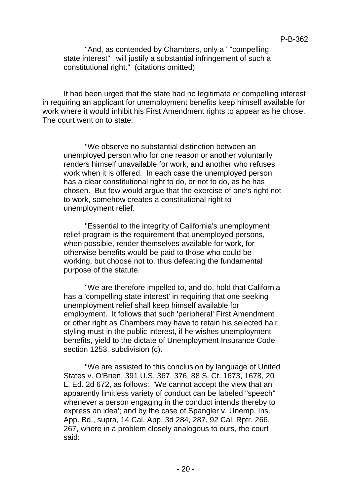"And, as contended by Chambers, only a ' "compelling state interest" ' will justify a substantial infringement of such a constitutional right." (citations omitted)

It had been urged that the state had no legitimate or compelling interest in requiring an applicant for unemployment benefits keep himself available for work where it would inhibit his First Amendment rights to appear as he chose. The court went on to state:

"We observe no substantial distinction between an unemployed person who for one reason or another voluntarily renders himself unavailable for work, and another who refuses work when it is offered. In each case the unemployed person has a clear constitutional right to do, or not to do, as he has chosen. But few would argue that the exercise of one's right not to work, somehow creates a constitutional right to unemployment relief.

"Essential to the integrity of California's unemployment relief program is the requirement that unemployed persons, when possible, render themselves available for work, for otherwise benefits would be paid to those who could be working, but choose not to, thus defeating the fundamental purpose of the statute.

"We are therefore impelled to, and do, hold that California has a 'compelling state interest' in requiring that one seeking unemployment relief shall keep himself available for employment. It follows that such 'peripheral' First Amendment or other right as Chambers may have to retain his selected hair styling must in the public interest, if he wishes unemployment benefits, yield to the dictate of Unemployment Insurance Code section 1253, subdivision (c).

"We are assisted to this conclusion by language of United States v. O'Brien, 391 U.S. 367, 376, 88 S. Ct. 1673, 1678, 20 L. Ed. 2d 672, as follows: 'We cannot accept the view that an apparently limitless variety of conduct can be labeled "speech" whenever a person engaging in the conduct intends thereby to express an idea'; and by the case of Spangler v. Unemp. Ins. App. Bd., supra, 14 Cal. App. 3d 284, 287, 92 Cal. Rptr. 266, 267, where in a problem closely analogous to ours, the court said: